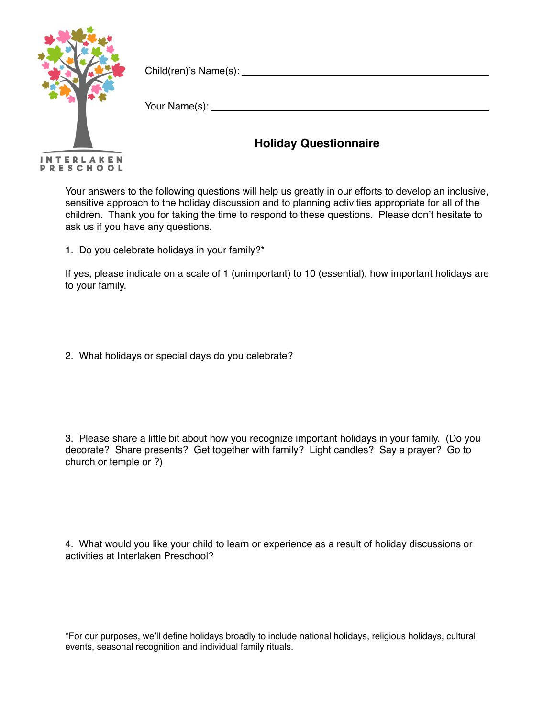

Child(ren)'s Name(s):

Your Name(s):

## **Holiday Questionnaire**

Your answers to the following questions will help us greatly in our efforts to develop an inclusive, sensitive approach to the holiday discussion and to planning activities appropriate for all of the children. Thank you for taking the time to respond to these questions. Please don't hesitate to ask us if you have any questions.

1. Do you celebrate holidays in your family?\*

If yes, please indicate on a scale of 1 (unimportant) to 10 (essential), how important holidays are to your family.

2. What holidays or special days do you celebrate?

3. Please share a little bit about how you recognize important holidays in your family. (Do you decorate? Share presents? Get together with family? Light candles? Say a prayer? Go to church or temple or ?)

4. What would you like your child to learn or experience as a result of holiday discussions or activities at Interlaken Preschool?

\*For our purposes, we'll define holidays broadly to include national holidays, religious holidays, cultural events, seasonal recognition and individual family rituals.